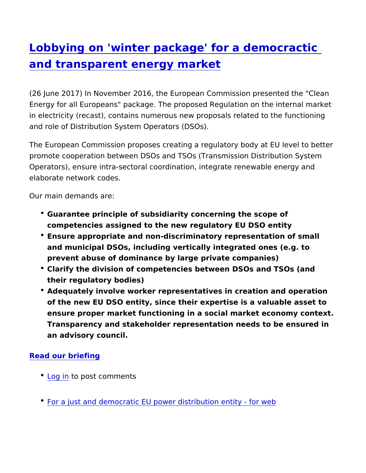## [Lobbying on 'winter package' for a dem](https://www.epsu.org/article/lobbying-winter-package-democractic-and-transparent-energy-market)ocra [and transparent energy m](https://www.epsu.org/article/lobbying-winter-package-democractic-and-transparent-energy-market)arket

(26 June 2017) In November 2016, the European Commission pres Energy for all Europeans" package. The proposed Regulation on t in electricity (recast), contains numerous new proposals related t and role of Distribution System Operators (DSOs).

The European Commission proposes creating a regulatory body at promote cooperation between DSOs and TSOs (Transmission Distr Operators), ensure intra-sectoral coordination, integrate renewab elaborate network codes.

Our main demands are:

- Guarantee principle of subsidiarity concerning the scope of competencies assigned to the new regulatory EU DSO entity
- Ensure appropriate and non-discriminatory representation of s and municipal DSOs, including vertically integrated ones (e.g. prevent abuse of dominance by large private companies)
- Clarify the division of competencies between DSOs and TSOs their regulatory bodies)
- Adequately involve worker representatives in creation and ope of the new EU DSO entity, since their expertise is a valuable ensure proper market functioning in a social market economy Transparency and stakeholder representation needs to be ensured an advisory council.

[Read our brie](http://www.epsu.org/sites/default/files/article/files/for a just and democratic EU power distribution entity- for web.pdf)fing

- [Log](https://www.epsu.org/user/login?destination=/article/lobbying-winter-package-democractic-and-transparent-energy-market#comment-form) ino post comments
- [For a just and democratic EU power distribut](https://www.epsu.org/sites/default/files/article/files/for a just and democratic EU power distribution entity- for web.pdf)ion entity for we